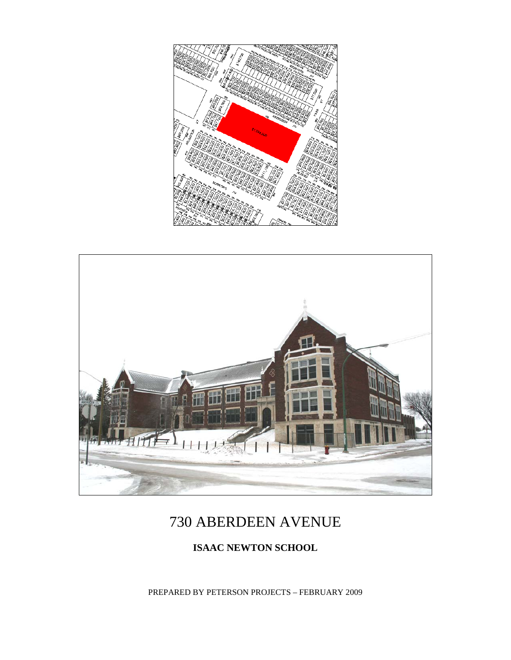



# 730 ABERDEEN AVENUE

### **ISAAC NEWTON SCHOOL**

PREPARED BY PETERSON PROJECTS – FEBRUARY 2009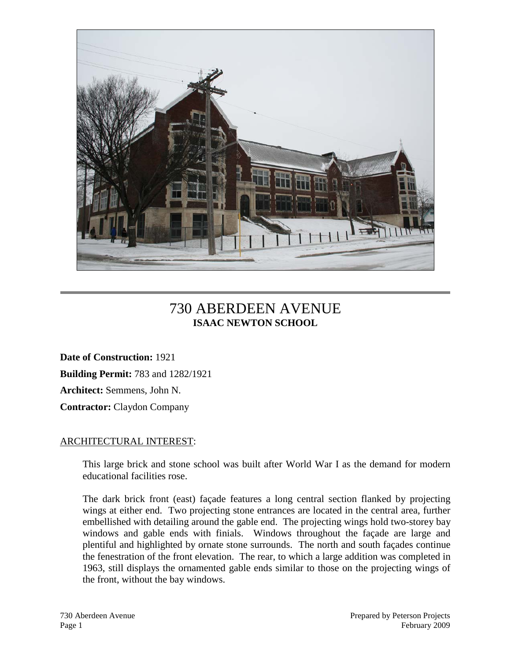

## 730 ABERDEEN AVENUE **ISAAC NEWTON SCHOOL**

**Date of Construction:** 1921 **Building Permit:** 783 and 1282/1921 **Architect:** Semmens, John N. **Contractor:** Claydon Company

#### ARCHITECTURAL INTEREST:

This large brick and stone school was built after World War I as the demand for modern educational facilities rose.

The dark brick front (east) façade features a long central section flanked by projecting wings at either end. Two projecting stone entrances are located in the central area, further embellished with detailing around the gable end. The projecting wings hold two-storey bay windows and gable ends with finials. Windows throughout the façade are large and plentiful and highlighted by ornate stone surrounds. The north and south façades continue the fenestration of the front elevation. The rear, to which a large addition was completed in 1963, still displays the ornamented gable ends similar to those on the projecting wings of the front, without the bay windows.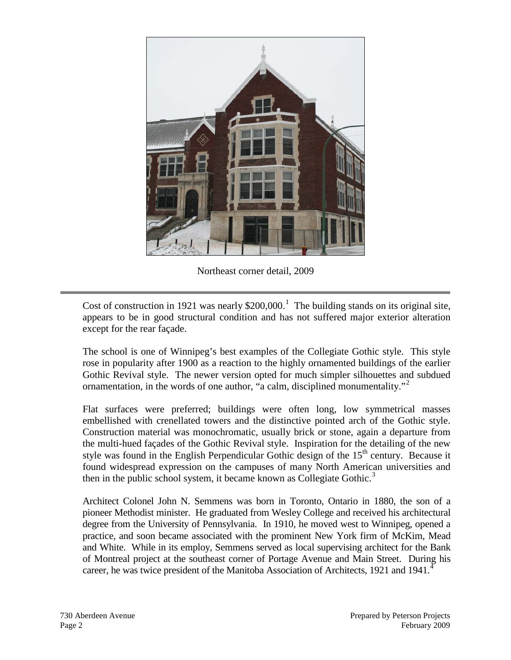

Northeast corner detail, 2009

Cost of construction in [1](#page-5-0)921 was nearly  $$200,000$ .<sup>1</sup> The building stands on its original site, appears to be in good structural condition and has not suffered major exterior alteration except for the rear façade.

The school is one of Winnipeg's best examples of the Collegiate Gothic style. This style rose in popularity after 1900 as a reaction to the highly ornamented buildings of the earlier Gothic Revival style. The newer version opted for much simpler silhouettes and subdued ornamentation, in the words of one author, "a calm, disciplined monumentality."<sup>[2](#page-5-1)</sup>

Flat surfaces were preferred; buildings were often long, low symmetrical masses embellished with crenellated towers and the distinctive pointed arch of the Gothic style. Construction material was monochromatic, usually brick or stone, again a departure from the multi-hued façades of the Gothic Revival style. Inspiration for the detailing of the new style was found in the English Perpendicular Gothic design of the  $15<sup>th</sup>$  century. Because it found widespread expression on the campuses of many North American universities and then in the public school system, it became known as Collegiate Gothic.<sup>[3](#page-5-2)</sup>

Architect Colonel John N. Semmens was born in Toronto, Ontario in 1880, the son of a pioneer Methodist minister. He graduated from Wesley College and received his architectural degree from the University of Pennsylvania. In 1910, he moved west to Winnipeg, opened a practice, and soon became associated with the prominent New York firm of McKim, Mead and White. While in its employ, Semmens served as local supervising architect for the Bank of Montreal project at the southeast corner of Portage Avenue and Main Street. During his career, he was twice president of the Manitoba Association of Architects, 1921 and 19[4](#page-5-3)1.<sup>4</sup>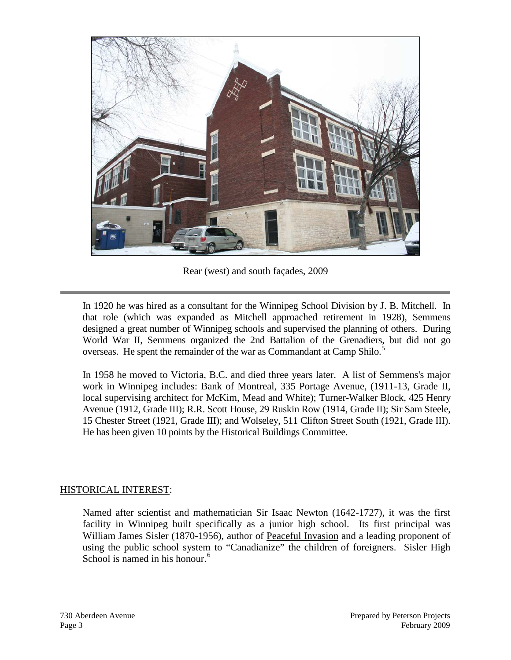

Rear (west) and south façades, 2009

In 1920 he was hired as a consultant for the Winnipeg School Division by J. B. Mitchell. In that role (which was expanded as Mitchell approached retirement in 1928), Semmens designed a great number of Winnipeg schools and supervised the planning of others. During World War II, Semmens organized the 2nd Battalion of the Grenadiers, but did not go overseas. He spent the remainder of the war as Commandant at Camp Shilo.<sup>[5](#page-5-4)</sup>

In 1958 he moved to Victoria, B.C. and died three years later. A list of Semmens's major work in Winnipeg includes: Bank of Montreal, 335 Portage Avenue, (1911-13, Grade II, local supervising architect for McKim, Mead and White); Turner-Walker Block, 425 Henry Avenue (1912, Grade III); R.R. Scott House, 29 Ruskin Row (1914, Grade II); Sir Sam Steele, 15 Chester Street (1921, Grade III); and Wolseley, 511 Clifton Street South (1921, Grade III). He has been given 10 points by the Historical Buildings Committee.

#### HISTORICAL INTEREST:

Named after scientist and mathematician Sir Isaac Newton (1642-1727), it was the first facility in Winnipeg built specifically as a junior high school. Its first principal was William James Sisler (1870-1956), author of Peaceful Invasion and a leading proponent of using the public school system to "Canadianize" the children of foreigners. Sisler High School is named in his honour.<sup>[6](#page-5-5)</sup>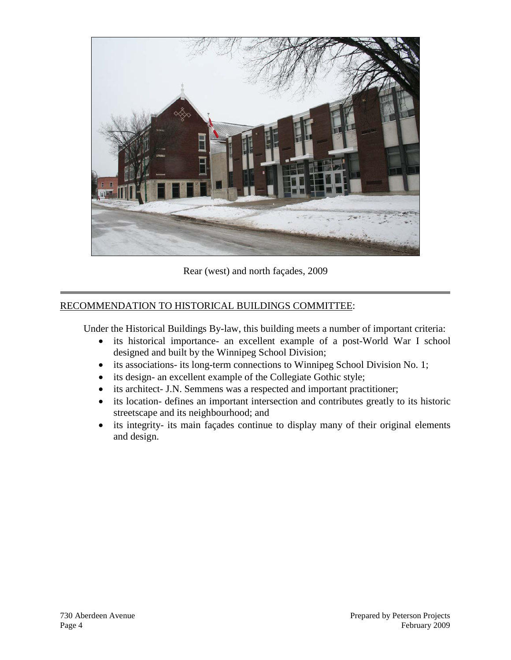

Rear (west) and north façades, 2009

#### RECOMMENDATION TO HISTORICAL BUILDINGS COMMITTEE:

Under the Historical Buildings By-law, this building meets a number of important criteria:

- its historical importance- an excellent example of a post-World War I school designed and built by the Winnipeg School Division;
- its associations- its long-term connections to Winnipeg School Division No. 1;
- its design- an excellent example of the Collegiate Gothic style;
- its architect- J.N. Semmens was a respected and important practitioner;
- its location- defines an important intersection and contributes greatly to its historic streetscape and its neighbourhood; and
- its integrity- its main façades continue to display many of their original elements and design.